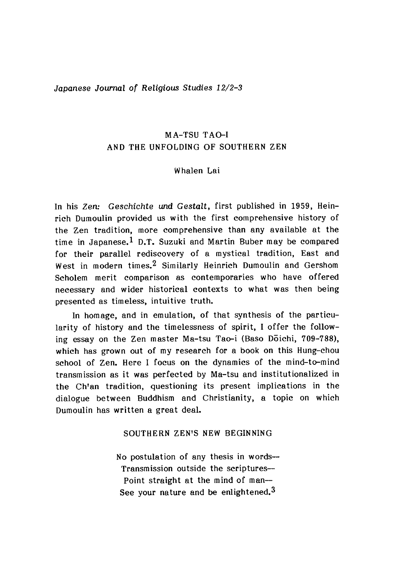*Japanese Journal of Religious Studies 12/2-3*

# MA-TSU TAO-I AND THE UNFOLDING OF SOUTHERN ZEN

### Whalen Lai

In his Zen: Geschichte und Gestalt, first published in 1959, Heinrich Dumoulin provided us with the first comprehensive history of the Zen tradition, more comprehensive than any available at the time in Japanese.<sup>1</sup> D.T. Suzuki and Martin Buber may be compared for their parallel rediscovery of a mystical tradition, East and West in modern times.<sup>2</sup> Similarly Heinrich Dumoulin and Gershom Scholem merit comparison as contemporaries who have offered necessary and wider historical contexts to what was then being presented as timeless, intuitive truth.

In homage, and in emulation, of that synthesis of the particularity of history and the timelessness of spirit, I offer the following essay on the Zen master Ma-tsu Tao-i (Baso Doichi, 709-788), which has grown out of my research for a book on this Hung-chou school of Zen. Here I focus on the dynamics of the mind-to-mind transmission as it was perfected by Ma-tsu and institutionalized in the Ch'an tradition, questioning its present implications in the dialogue between Buddhism and Christianity, a topic on which Dumoulin has written a great deal.

## SOUTHERN ZEN'S NEW BEGINNING

No postulation of any thesis in words— Transmission outside the scriptures— Point straight at the mind of man— See your nature and be enlightened. $3$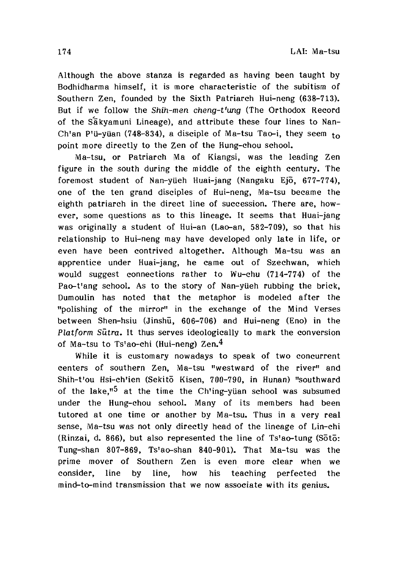Although the above stanza is regarded as having been taught by Bodhidharma himself, it is more characteristic of the subitism of Southern Zen, founded by the Sixth Patriarch Hui-neng (638-713). But if we follow the *Shih-men cheng-t'ung* (The Orthodox Record of the Sakyamuni Lineage), and attribute these four lines to Nan-Ch'an P'ü-yüan (748-834), a disciple of Ma-tsu Tao-i, they seem  $t_0$ point more directly to the Zen of the Hung-chou school.

Ma-tsu, or Patriarch Ma of Kiangsi, was the leading Zen figure in the south during the middle of the eighth century. The foremost student of Nan-yüeh Huai-jang (Nangaku Ejō, 677-774), one of the ten grand disciples of Hui-neng, Ma-tsu became the eighth patriarch in the direct line of succession. There are, however, some questions as to this lineage. It seems that Huai-jang was originally a student of Hui-an (Lao-an, 582-709), so that his relationship to Hui-neng may have developed only late in life, or even have been contrived altogether. Although Ma-tsu was an apprentice under Huai-jang, he came out of Szechwan, which would suggest connections rather to Wu-chu (714-774) of the Pao-t'ang school. As to the story of Nan-yueh rubbing the brick, Dumoulin has noted that the metaphor is modeled after the "polishing of the mirror" in the exchange of the Mind Verses between Shen-hsiu (Jinshu, 606-706) and Hui-neng (Eno) in the *Platform Sutra.* It thus serves ideologically to mark the conversion of Ma-tsu to Ts'ao-chi (Hui-neng) Zen.<sup>4</sup>

While it is customary nowadays to speak of two concurrent centers of southern Zen, Ma-tsu "westward of the river" and Shih-t'ou Hsi-ch'ien (Sekito Kisen, 700-790, in Hunan) "southward of the lake, $n^5$  at the time the Ch'ing-yuan school was subsumed under the Hung-chou school. Many of its members had been tutored at one time or another by Ma-tsu, Thus in a very real sense, Ma-tsu was not only directly head of the lineage of Lin-chi (Rinzai, d. 866), but also represented the line of  $Ts$ 'ao-tung (S $\overline{0}$ to). Tung-shan 807-869, Ts\*ao-shan 840-901). That Ma-tsu was the prime mover of Southern Zen is even more clear when we consider, line by line, how his teaching perfected the mind-to-mind transmission that we now associate with its genius.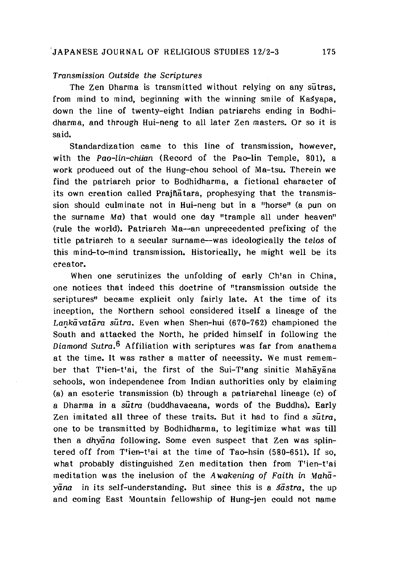### *Transmission Outside the Scriptures*

The Zen Dharma is transmitted without relying on any sutras, from mind to mind, beginning with the winning smile of Kasyapa, down the line of twenty-eight Indian patriarchs ending in Bodhidharma, and through Hui-neng to all later Zen masters. Or so it is said.

Standardization came to this line of transmission, however, with the *Pao-lin-chiian* (Record of the Pao-lin Temple, 801), a work produced out of the Hung-chou school of Ma-tsu. Therein we find the patriarch prior to Bodhidharma, a fictional character of its own creation called Prajfiatara, prophesying that the transmission should culminate not in Hui-neng but in a "horse" (a pun on the surname *Ma)* that would one day "trample all under heaven" (rule the world). Patriarch Ma--an unprecedented prefixing of the title patriarch to a secular surname—was ideologically the *telos* of this mind-to-mind transmission. Historically, he might well be its creator.

When one scrutinizes the unfolding of early Ch'an in China, one notices that indeed this doctrine of ^transmission outside the scriptures" became explicit only fairly late. At the time of its inception, the Northern school considered itself a lineage of the *Lankavatara sutra.* Even when Shen-hui (670-762) championed the South and attacked the North, he prided himself in following the *Diamond Sutra*.<sup>6</sup> Affiliation with scriptures was far from anathema at the time. It was rather a matter of necessity. We must remember that T'ien-t'ai, the first of the Sui-T'ang sinitic Mahayana schools, won independence from Indian authorities only by claiming (a) an esoteric transmission (b) through a patriarchal lineage (c) of a Dharma in a *sutra* (buddhavacana, words of the Buddha). Early Zen imitated all three of these traits. But it had to find a sutra, one to be transmitted by Bodhidharma, to legitimize what was till then a *dhyana* following. Some even suspect that Zen was splintered off from T'ien-t'ai at the time of Tao-hsin (580-651). If so, what probably distinguished Zen meditation then from T'ien-t'ai meditation was the inclusion of the *Awakening of Faith in Mahayana* in its self-understanding. But since this is a *sastra*, the up and coming East Mountain fellowship of Hung-jen could not name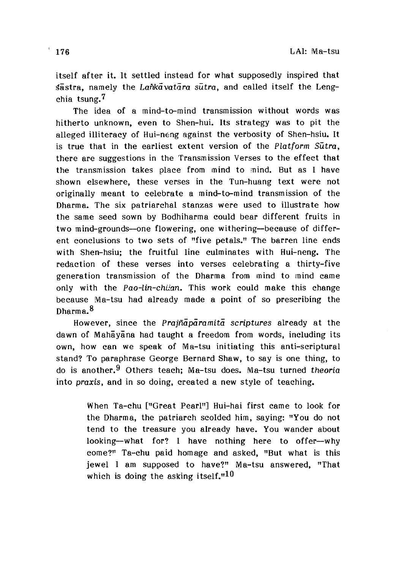itself after it. It settled instead for what supposedly inspired that ^astra, namely the *Lankavatara sutra,* and called itself the Lengchia tsung.7

The idea of a mind-to-mind transmission without words was hitherto unknown, even to Shen-hui. Its strategy was to pit the alleged illiteracy of Hui-neng against the verbosity of Shen-hsiu. It is true that in the earliest extent version of the *Platform Sutra*, there are suggestions in the Transmission Verses to the effect that the transmission takes place from mind to mind. But as I have shown elsewhere, these verses in the Tun-huang text were not originally meant to celebrate a mind-to-mind transmission of the Dharma. The six patriarchal stanzas were used to illustrate how the same seed sown by Bodhiharma could bear different fruits in two mind-grounds—one flowering, one withering—because of different conclusions to two sets of "five petals." The barren line ends with Shen-hsiu; the fruitful line culminates with Hui-neng. The redaction of these verses into verses celebrating a thirty-five generation transmission of the Dharma from mind to mind came only with the *Pao-lin-chilan.* This work could make this change because Ma-tsu had already made a point of so prescribing the Dharma.®

However, since the *Prajfiaparamita scriptures* already at the dawn of Mahayana had taught a freedom from words, including its own, how can we speak of Ma-tsu initiating this anti-scriptural stand? To paraphrase George Bernard Shaw, to say is one thing, to do is another.<sup>9</sup> Others teach; Ma-tsu does. Ma-tsu turned *theoria* into *praxis,* and in so doing, created a new style of teaching.

> When Ta-chu ["Great Pearl"] Hui-hai first came to look for the Dharma, the patriarch scolded him, saying: "You do not tend to the treasure you already have. You wander about looking--what for? I have nothing here to offer--why come?" Ta-chu paid homage and asked, "But what is this jewel I am supposed to have?11 Ma-tsu answered, "That which is doing the asking itself. $10$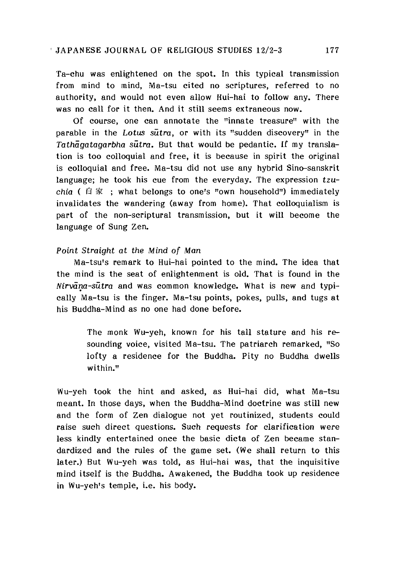Ta-chu was enlightened on the spot. In this typical transmission from mind to mind, Ma-tsu cited no scriptures, referred to no authority, and would not even allow Hui-hai to follow any. There was no call for it then. And it still seems extraneous now.

Of course, one can annotate the "innate treasure" with the parable in the *Lotus sutra*, or with its "sudden discovery" in the *Tathagatagarbha satra.* But that would be pedantic. If my translation is too colloquial and free, it is because in spirit the original is colloquial and free. Ma-tsu did not use any hybrid Sino-sanskrit language; he took his cue from the everyday. The expression *tzachia* ( $\theta \hat{\mathbb{X}}$ ; what belongs to one's "own household") immediately invalidates the wandering (away from home). That colloquialism is part of the non-scriptural transmission, but it will become the language of Sung Zen.

### *Point Straight at the Mind of Man*

Ma-tsu's remark to Hui-hai pointed to the mind. The idea that the mind is the seat of enlightenment is old. That is found in the *Nirvana-sutra* and was common knowledge. What is new and typically Ma-tsu is the finger. Ma-tsu points, pokes, pulls, and tugs at his Buddha-Mind as no one had done before.

> The monk Wu-yeh, known for his tall stature and his resounding voice, visited Ma-tsu. The patriarch remarked, "So lofty a residence for the Buddha. Pity no Buddha dwells within."

Wu-yeh took the hint and asked, as Hui-hai did, what Ma-tsu meant. In those days, when the Buddha-Mind doctrine was still new and the form of Zen dialogue not yet routinized, students could raise such direct questions. Such requests for clarification were less kindly entertained once the basic dicta of Zen became standardized and the rules of the game set. (We shall return to this later.) But Wu-yeh was told, as Hui-hai was, that the inquisitive mind itself is the Buddha. Awakened, the Buddha took up residence in Wu-yeh's temple, i.e. his body.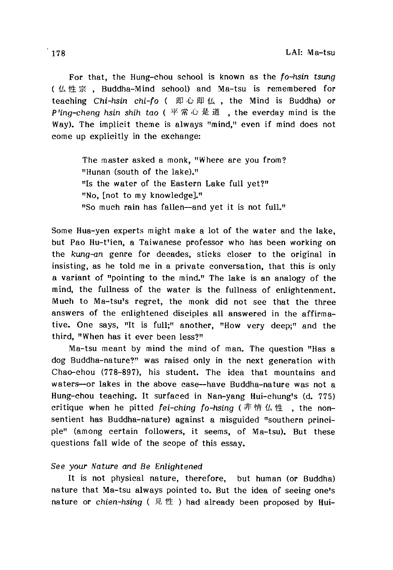For that, the Hung-chou school is known as the *fo-hsin tsung* (仏性宗, Buddha-Mind school) and Ma-tsu is remembered for teaching *Chi-hsin chi-fo* ( 即心即仏, the Mind is Buddha) or *P Hrig-cheng hsin shih tao* (平常心是道 ,the everday mind is the Way). The implicit theme is always "mind," even if mind does not come up explicitly in the exchange:

> The master asked a monk, "Where are you from? "Hunan (south of the lake)." "Is the water of the Eastern Lake full yet?" "No, [not to my knowledge]." "So much rain has fallen—and yet it is not full."

Some Hua-yen experts might make a lot of the water and the lake, but Pao Hu-t'ien, a Taiwanese professor who has been working on the *kung-an* genre for decades, sticks closer to the original in insisting, as he told me in a private conversation, that this is only a variant of "pointing to the mind." The lake is an analogy of the mind, the fullness of the water is the fullness of enlightenment. Much to Ma-tsu's regret, the monk did not see that the three answers of the enlightened disciples all answered in the affirmative. One says, "It is full;" another, "How very deep;" and the third, "When has it ever been less?"

Ma-tsu meant by mind the mind of man. The question "Has a dog Buddha-nature?" was raised only in the next generation with Chao-chou (778-897), his student. The idea that mountains and waters—or lakes in the above case—have Buddha-nature was not a Hung-chou teaching. It surfaced in Nan-yang Hui-chung's (d. 775) critique when he pitted *fei-ching fo-hsing* (非情仏性 , the nonsentient has Buddha-nature) against a misguided "southern principle" (among certain followers, it seems, of Ma-tsu). But these questions fall wide of the scope of this essay.

### *See your Nature and Be Enlightened*

It is not physical nature, therefore, but human (or Buddha) nature that Ma-tsu always pointed to. But the idea of seeing one's nature or *chien-hsing* (見性) had already been proposed by Hui-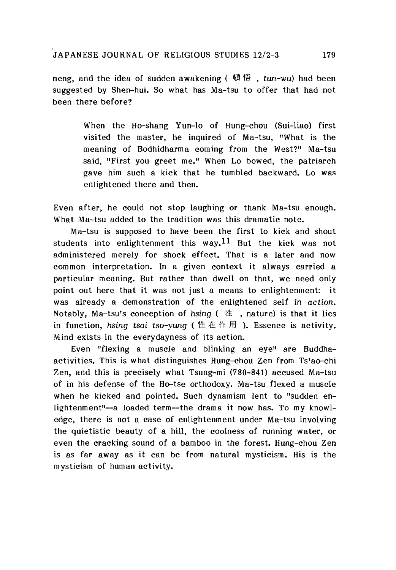## JAPANESE JOURNAL OF RELIGIOUS STUDIES 12/2-3 179

neng, and the idea of sudden awakening (頓悟, tun-wu) had been suggested by Shen-hui. So what has Ma-tsu to offer that had not been there before?

> When the Ho-shang Yun-lo of Hung-chou (Sui-liao) first visited the master, he inquired of Ma-tsu, "What is the meaning of Bodhidharma coming from the West?" Ma-tsu said, "First you greet me." When Lo bowed, the patriarch gave him such a kick that he tumbled backward. Lo was enlightened there and then.

Even after, he could not stop laughing or thank Ma-tsu enough. What Ma-tsu added to the tradition was this dramatic note.

Ma-tsu is supposed to have been the first to kick and shout students into enlightenment this way.<sup>11</sup> But the kick was not administered merely for shock effect. That is a later and now common interpretation. In a given context it always carried a particular meaning. But rather than dwell on that, we need only point out here that it was not just a means to enlightenment: it was already a demonstration of the enlightened self *in action.* Notably. Ma-tsu's conception of *hsing* (性, nature) is that it lies in function, *hsing tsai tso-yung* ( 性在作用 ). Essence is activity. Mind exists in the everydayness of its action.

Even "flexing a muscle and blinking an eye" are Buddhaactivities. This is what distinguishes Hung-chou Zen from Ts!ao-chi Zen, and this is precisely what Tsung-mi (780-841) accused Ma-tsu of in his defense of the Ho-tse orthodoxy. Ma-tsu flexed a muscle when he kicked and pointed. Such dynamism lent to "sudden enlightenment"--a loaded term—the drama it now has. To my knowledge, there is not a case of enlightenment under Ma-tsu involving the quietistic beauty of a hill, the coolness of running water, or even the cracking sound of a bamboo in the forest. Hung-chou Zen is as far away as it can be from natural mysticism. His is the mysticism of human activity.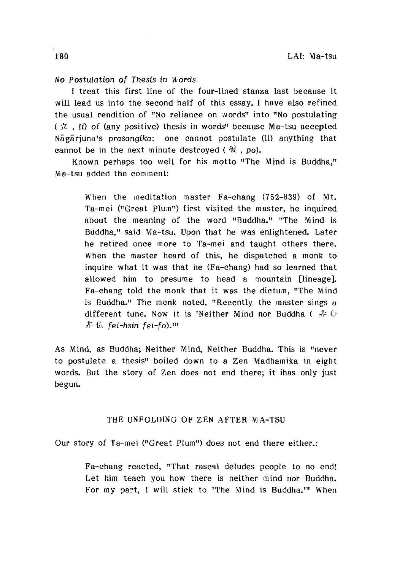### *No Postulation of Thesis in* Hords

I treat this first line of the four-lined stanza last because it will lead us into the second half of this essay. I have also refined the usual rendition of "No reliance on words" into "No postulating  $(\dot{\mathcal{I}}$ , *li*) of (any positive) thesis in words<sup>n</sup> because Ma-tsu accepted Nagarjuna\*s *prasangika:* one cannot postulate (li) anything that cannot be in the next minute destroyed ( $\ddot{\mathbf{\omega}}$ , po).

Known perhaps too well for his motto "The Mind is Buddha." Ma-tsu added the comment:

> When the meditation master Fa-chang (752-839) of Mt. Ta-mei ("Great Plum") first visited the master, he inquired about the meaning of the word "Buddha." "The Mind is Buddha," said Ma-tsu. Upon that he was enlightened. Later he retired once more to Ta-mei and taught others there. When the master heard of this, he dispatched a monk to inquire what it was that he (Fa-chang) had so learned that allowed him to presume to head a mountain [lineage]. Fa-chang told the monk that it was the dictum, "The Mind" is Buddha." The monk noted, "Recently the master sings a different tune. Now it is 'Neither Mind nor Buddha (  $# \circlearrowright$ 非仏 *fei-hsin*

As Mind, as Buddha; Neither Mind, Neither Buddha. This is "never to postulate a thesis'\* boiled down to a Zen Madhamika in eight words. But the story of Zen does not end there; it ihas only just begun.

### THE UNFOLDING OF ZEN AFTER MA-TSU

Our story of Ta-mei ("Great Plum") does not end there either.:

Fa-chang reacted, "That rascal deludes people to no end! Let him teach you how there is neither mind nor Buddha. For my part, I will stick to 'The Mind is Buddha.'" When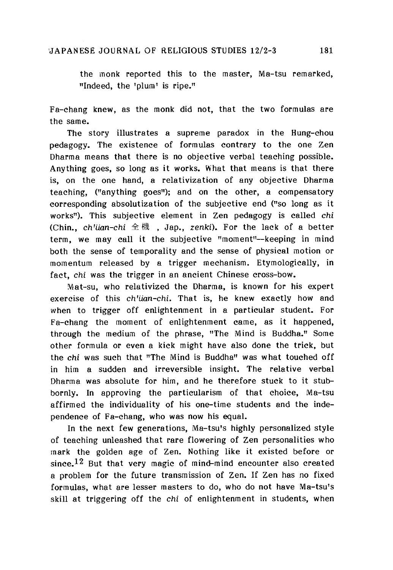the monk reported this to the master, Ma-tsu remarked, "Indeed, the 'plum' is ripe."

Fa-chang knew, as the monk did not, that the two formulas are the same.

The story illustrates a supreme paradox in the Hung-chou pedagogy. The existence of formulas contrary to the one Zen Dharma means that there is no objective verbal teaching possible. Anything goes, so long as it works. What that means is that there is, on the one hand, a relativization of any objective Dharma teaching, ("anything goes"); and on the other, a compensatory corresponding absolutization of the subjective end ("so long as it works11). This subjective element in Zen pedagogy is called *chi* (Chin.,  $ch'$ *ian-chi* 全 機 , Jap., *zenki*). For the lack of a better term, we may call it the subjective "moment"--keeping in mind both the sense of temporality and the sense of physical motion or momentum released by a trigger mechanism. Etymologically, in fact, *chi* was the trigger in an ancient Chinese cross-bow.

Mat-su, who relativized the Dharma, is known for his expert exercise of this *ch'iian-chi*. That is, he knew exactly how and when to trigger off enlightenment in a particular student. For Fa-chang the moment of enlightenment came, as it happened, through the medium of the phrase, "The Mind is Buddha." Some other formula or even a kick might have also done the trick, but the *chi* was such that "The Mind is Buddha" was what touched off in him a sudden and irreversible insight. The relative verbal Dharma was absolute for him, and he therefore stuck to it stubbornly. In approving the particularism of that choice, Ma-tsu affirmed the individuality of his one-time students and the independence of Fa-chang, who was now his equal.

In the next few generations, Ma-tsu's highly personalized style of teaching unleashed that rare flowering of Zen personalities who mark the golden age of Zen. Nothing like it existed before or since.<sup>12</sup> But that very magic of mind-mind encounter also created a problem for the future transmission of Zen. If Zen has no fixed formulas, what are lesser masters to do, who do not have Ma-tsu!s skill at triggering off the *chi* of enlightenment in students, when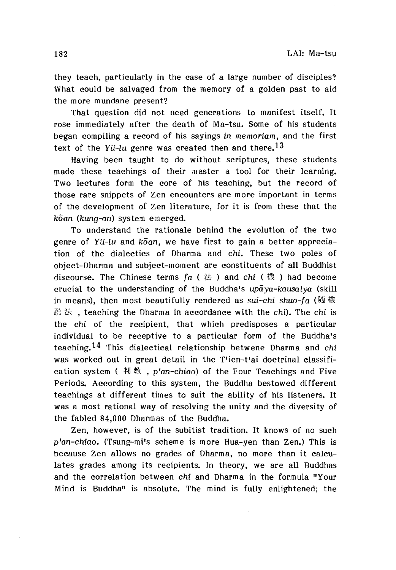they teach, particularly in the case of a large number of disciples? What could be salvaged from the memory of a golden past to aid the more mundane present?

That question did not need generations to manifest itself. It rose immediately after the death of Ma-tsu. Some of his students began compiling a record of his sayings *in memoriam,* and the first text of the *Yü-lu* genre was created then and there.<sup>13</sup>

Having been taught to do without scriptures, these students made these teachings of their master a tool for their learning. Two lectures form the core of his teaching, but the record of those rare snippets of Zen encounters are more important in terms of the development of Zen literature, for it is from these that the *koan (kung-an)* system emerged.

To understand the rationale behind the evolution of the two genre of *YLi-lu* and *koan,* we have first to gain a better appreciation of the dialectics of Dharma and chi. These two poles of object-Dharma and subject-moment are constituents of all Buddhist discourse. The Chinese terms  $fa$  (法) and *chi* (機) had become crucial to the understanding of the Buddha's upaya-kausalya (skill in means), then most beautifully rendered as *sui~chi shuo~fa* (随機 説 法, teaching the Dharma in accordance with the chi). The chi is the *chi* of the recipient, that which predisposes a particular individual to be receptive to a particular form of the Buddha's teaching.l^ This dialectical relationship betwene Dharma and *chi* was worked out in great detail in the T'ien-t'ai doctrinal classification system (判教, p'an-chiao) of the Four Teachings and Five Periods. According to this system, the Buddha bestowed different teachings at different times to suit the ability of his listeners. It was a most rational way of resolving the unity and the diversity of the fabled 84,000 Dharmas of the Buddha.

Zen, however, is of the subitist tradition. It knows of no such p'an-chiao. (Tsung-mi's scheme is more Hua-yen than Zen.) This is because Zen allows no grades of Dharma, no more than it calculates grades among its recipients. In theory, we are all Buddhas and the correlation between chi and Dharma in the formula "Your Mind is Buddha" is absolute. The mind is fully enlightened; the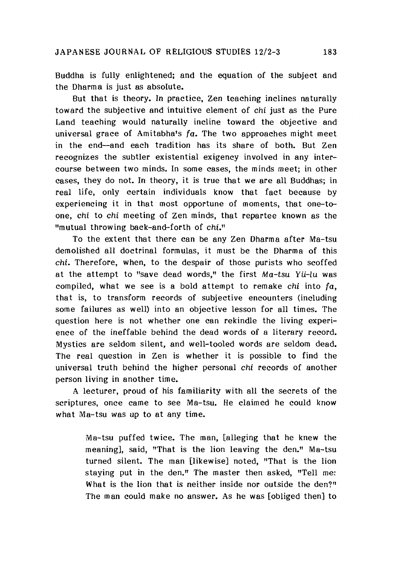Buddha is fully enlightened; and the equation of the subject and the Dharma is just as absolute.

But that is theory. In practice, Zen teaching inclines naturally toward the subjective and intuitive element of chi just as the Pure Land teaching would naturally incline toward the objective and universal grace of Amitabha's fa. The two approaches might meet in the end—and each tradition has its share of both. But Zen recognizes the subtler existential exigency involved in any intercourse between two minds. In some cases, the minds meet; in other cases, they do not. In theory, it is true that we are all Buddhas; in real life, only certain individuals know that fact because by experiencing it in that most opportune of moments, that one-toone, *chi* to *chi* meeting of Zen minds, that repartee known as the "mutual throwing back-and-forth of chi."

To the extent that there can be any Zen Dharma after Ma-tsu demolished all doctrinal formulas, it must be the Dharma of this *chi.* Therefore, when, to the despair of those purists who scoffed at the attempt to "save dead words," the first *Ma-tsu Yu-lu* was compiled, what we see is a bold attempt to remake *chi* into fa, that is, to transform records of subjective encounters (including some failures as well) into an objective lesson for all times. The question here is not whether one can rekindle the living experience of the ineffable behind the dead words of a literary record. Mystics are seldom silent, and well-tooled words are seldom dead. The real question in Zen is whether it is possible to find the universal truth behind the higher personal *chi* records of another person living in another time.

A lecturer, proud of his familiarity with all the secrets of the scriptures, once came to see Ma-tsu. He claimed he could know what Ma-tsu was up to at any time.

> Ma-tsu puffed twice. The man, [alleging that he knew the meaning], said, "That is the lion leaving the den." Ma-tsu turned silent. The man [likewise] noted, "That is the lion staying put in the den." The master then asked, "Tell me: What is the lion that is neither inside nor outside the den?" The man could make no answer. As he was [obliged then] to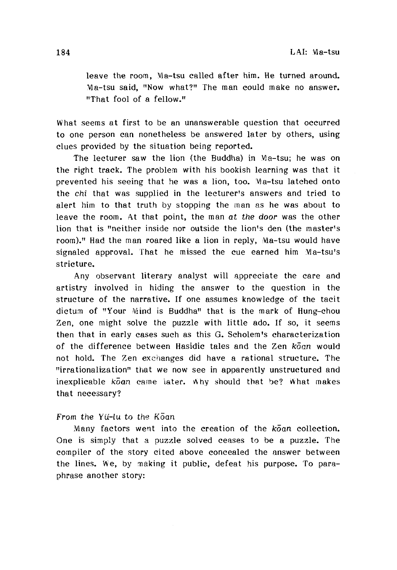leave the room, Ma-tsu called after him. He turned around. Ma-tsu said, "Now what?" The man could make no answer. "That fool of a fellow."

What seems at first to be an unanswerable question that occurred to one person can nonetheless be answered later by others, using clues provided by the situation being reported.

The lecturer saw the lion (the Buddha) in Ma-tsu; he was on the right track. The problem with his bookish learning was that it prevented his seeing that he was a lion, too. Ma-tsu latched onto the *chi* that was supplied in the lecturer's answers and tried to alert him to that truth by stopping the nan as he was about to leave the room. At that point, the man *at the door* was the other lion that is "neither inside nor outside the lion's den (the master's room)." Had the man roared like a lion in reply, Ma-tsu would have signaled approval. That he missed the cue earned him Ma-tsu!s stricture.

Any observant literary analyst will appreciate the care and artistry involved in hiding the answer to the question in the structure of the narrative. If one assumes knowledge of the tacit dictum of "Your Mind is Buddha" that is the mark of Hung-chou Zen, one might solve the puzzle with little ado. If so, it seems then that in early cases such as this G. Scholem !s characterization of the difference between Hasidic tales and the Zen *kdan* would not hold- The Zen exchanges did have a rational structure. The "irrationalization" that we now see in apparently unstructured and inexplicable koan came later. Why should that be? What makes that necessary?

## From the Yii-tu to *the Koan*

Many factors went into the creation of the *kdan* collection. One is simply that a puzzle solved ceases to be a puzzle. The compiler of the story cited above concealed the answer between the lines. We, by making it public, defeat his purpose. To paraphrase another story: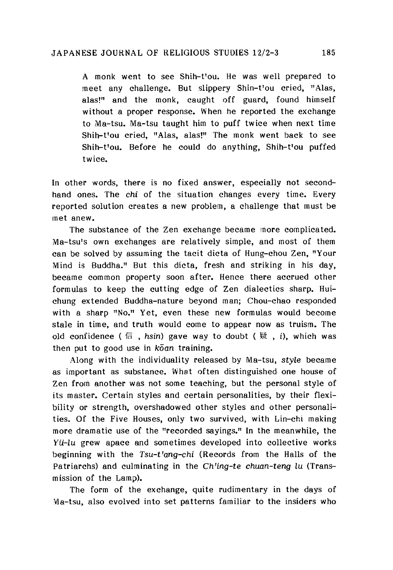A monk went to see Shih-t!ou. He was well prepared to meet any challenge. But slippery Shin-t'ou cried, "Alas, alas!" and the monk, caught off guard, found himself without a proper response. When he reported the exchange to Ma-tsu. Ma-tsu taught him to puff twice when next time Shih-t'ou cried, "Alas, alas!" The monk went back to see Shih-t'ou. Before he could do anything, Shih-t'ou puffed twice.

In other words, there is no fixed answer, especially not secondhand ones. The *chi* of the situation changes every time. Every reported solution creates a new problem, a challenge that must be met anew.

The substance of the Zen exchange became more complicated. Ma-tsu!s own exchanges are relatively simple, and most of them can be solved by assuming the tacit dicta of Hung-chou Zen, "Your Mind is Buddha." But this dicta, fresh and striking in his day, became common property soon after. Hence there accrued other formulas to keep the cutting edge of Zen dialectics sharp. Huichung extended Buddha-nature beyond man; Chou-chao responded with a sharp "No." Yet, even these new formulas would become stale in time, and truth would come to appear now as truism. The old confidence ( 信 ,*hsin)* gave way to doubt ( 疑 ,*i*),which was then put to good use in *koan* training.

Along with the individuality released by Ma-tsu, *style* became as important as substance. What often distinguished one house of Zen from another was not some teaching, but the personal style of its master. Certain styles and certain personalities, by their flexibility or strength, overshadowed other styles and other personalities. Of the Five Houses, only two survived, with Lin-chi making more dramatic use of the "recorded sayings." In the meanwhile, the *Yii-lu* grew apace and sometimes developed into collective works beginning with the *Tsu-t fang-chi* (Records from the Halls of the Patriarchs) and culminating in the *Ch'ing-te chuan-teng lu* (Transmission of the Lamp).

The form of the exchange, quite rudimentary in the days of Ma-tsu, also evolved into set patterns familiar to the insiders who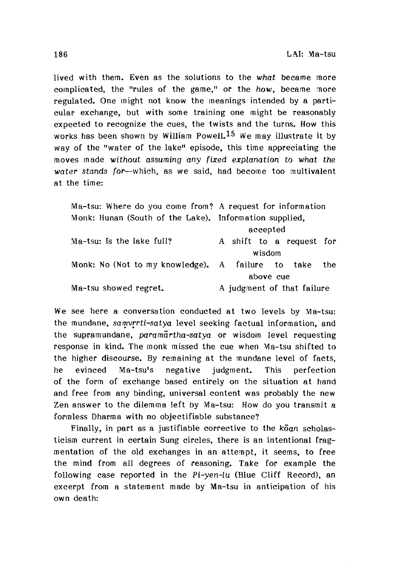lived with them. Even as the solutions to the *what* became more complicated, the "rules of the game," or the how, became more regulated. One might not know the meanings intended by a particular exchange, but with some training one might be reasonably expected to recognize the cues, the twists and the turns. How this works has been shown by William Powell.<sup>15</sup> We may illustrate it by way of the "water of the lake" episode, this time appreciating the moves made *without assuming any fixed explanation to what the water stands* for—which, as we said, had become too multivalent at the time:

Ma-tsu: Where do you come from? A request for information Monk: Hunan (South of the Lake). Information supplied, Ma-tsu: Is the lake full? Monk: No (Not to my knowledge). Ma-tsu showed regret. accepted A shift to a request for wisdom failure to take the above cue A judgment of that failure

We see here a conversation conducted at two levels by Ma-tsu: the mundane, sa*mvrrti-satya* level seeking factual information, and the supramundane, *paramartha-satya* or wisdom level requesting response in kind. The monk missed the cue when Ma-tsu shifted to the higher discourse. By remaining at the mundane level of facts, he evinced Ma-tsu!s negative judgment. This perfection of the form of exchange based entirely on the situation at hand and free from any binding, universal content was probably the new Zen answer to the dilemma left by Ma-tsu: How do you transmit a formless Dharma with no objectifiable substance?

Finally, in part as a justifiable corrective to the  $k\bar{o}$ an scholasticism current in certain Sung circles, there is an intentional fragmentation of the old exchanges in an attempt, it seems, to free the mind from all degrees of reasoning. Take for example the following case reported in the Pi-yen-lu (Blue Cliff Record), an excerpt from a statement made by Ma-tsu in anticipation of his own death: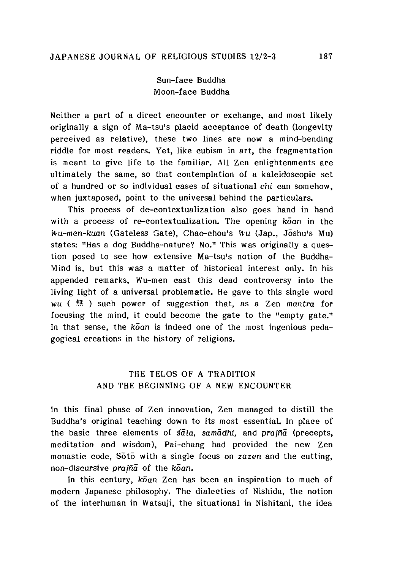Sun-face Buddha Moon-face Buddha

Neither a part of a direct encounter or exchange, and most likely originally a sign of Ma-tsu!s placid acceptance of death (longevity perceived as relative), these two lines are now a mind-bending riddle for most readers. Yet, like cubism in art, the fragmentation is meant to give life to the familiar. All Zen enlightenments are ultimately the same, so that contemplation of a kaleidoscopic set of a hundred or so individual cases of situational *chi* can somehow, when juxtaposed, point to the universal behind the particulars.

This process of de-contextualization also goes hand in hand with a process of re-contextualization. The opening  $k\bar{o}$ an in the Wu-men-kuan (Gateless Gate), Chao-chou's *Wu* (Jap., Joshu's Mu) states: "Has a dog Buddha-nature? No." This was originally a question posed to see how extensive Ma-tsu's notion of the Buddha-Mind is, but this was a matter of historical interest only. In his appended remarks, Wu-men cast this dead controversy into the living light of a universal problematic. He gave to this single word wu (無) such power of suggestion that, as a Zen *mantra* for focusing the mind, it could become the gate to the "empty gate." In that sense, the  $k\bar{o}an$  is indeed one of the most ingenious pedagogical creations in the history of religions.

# THE TELOS OF A TRADITION AND THE BEGINNING OF A NEW ENCOUNTER

In this final phase of Zen innovation, Zen managed to distill the Buddhafs original teaching down to its most essential. In place of the basic three elements of *sala*, samadhi, and *prajna* (precepts, meditation and wisdom), Pai-chang had provided the new Zen monastic code, Soto with a single focus on *zazen* and the cutting, non-discursive *prajna* of the *kdan.*

In this century, *koan* Zen has been an inspiration to much of modern Japanese philosophy. The dialectics of Nishida, the notion of the interhuman in Watsuji, the situational in Nishitani, the idea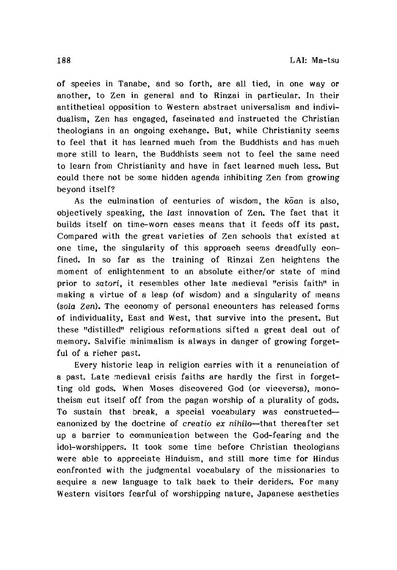of species in Tanabe, and so forth, are all tied, in one way or another, to Zen in general and to Rinzai in particular. In their antithetical opposition to Western abstract universalism and individualism, Zen has engaged, fascinated and instructed the Christian theologians in an ongoing exchange. But, while Christianity seems to feel that it has learned much from the Buddhists and has much more still to learn, the Buddhists seem not to feel the same need to learn from Christianity and have in fact learned much less. But could there not be some hidden agenda inhibiting Zen from growing beyond itself?

As the culmination of centuries of wisdom, the *koan* is also, objectively speaking, the last innovation of Zen. The fact that it builds itself on time-worn cases means that it feeds off its past. Compared with the great varieties of Zen schools that existed at one time, the singularity of this approach seems dreadfully confined. In so far as the training of Rinzai Zen heightens the moment of enlightenment to an absolute either/or state of mind prior to *satori*, it resembles other late medieval "crisis faith" in making a virtue of a leap (of wisdom) and a singularity of means (sola Zen). The economy of personal encounters has released forms of individuality, East and West, that survive into the present. But these "distilled" religious reformations sifted a great deal out of memory. Salvific minimalism is always in danger of growing forgetful of a richer past.

Every historic leap in religion carries with it a renunciation of a past. Late medieval crisis faiths are hardly the first in forgetting old gods. When Moses discovered God (or viceversa), monotheism cut itself off from the pagan worship of a plurality of gods. To sustain that break, a special vocabulary was constructed canonized by the doctrine of *creatio ex nihilo*—that thereafter set up a barrier to communication between the God-fearing and the idol-worshippers. It took some time before Christian theologians were able to appreciate Hinduism, and still more time for Hindus confronted with the judgmental vocabulary of the missionaries to acquire a new language to talk back to their deriders. For many Western visitors fearful of worshipping nature, Japanese aesthetics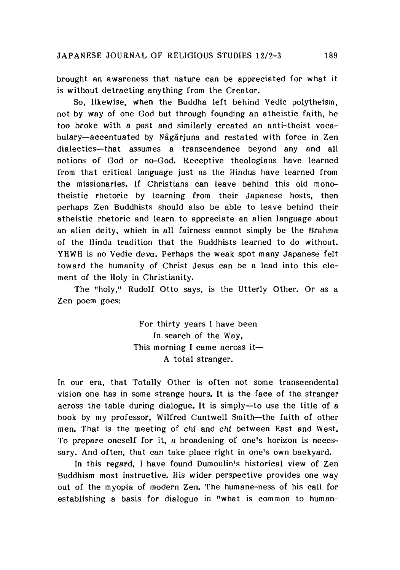brought an awareness that nature can be appreciated for what it is without detracting anything from the Creator.

So, likewise, when the Buddha left behind Vedic polytheism, not by way of one God but through founding an atheistic faith, he too broke with a past and similarly created an anti-theist vocabulary—accentuated by Nagarjuna and restated with force in Zen dialectics—that assumes a transcendence beyond any and all notions of God or no-God. Receptive theologians have learned from that critical language just as the Hindus have learned from the missionaries. If Christians can leave behind this old monotheistic rhetoric by learning from their Japanese hosts, then perhaps Zen Buddhists should also be able to leave behind their atheistic rhetoric and learn to appreciate an alien language about an alien deity, which in all fairness cannot simply be the Brahma of the Hindu tradition that the Buddhists learned to do without. YHWH is no Vedic deva. Perhaps the weak spot many Japanese felt toward the humanity of Christ Jesus can be a lead into this element of the Holy in Christianity.

The "holy," Rudolf Otto says, is the Utterly Other. Or as a Zen poem goes

> For thirty years I have been In search of the Way, This morning I came across it— A total stranger.

In our era, that Totally Other is often not some transcendental vision one has in some strange hours. It is the face of the stranger across the table during dialogue. It is simply—to use the title of a book by my professor, Wilfred Cantwell Smith—the faith of other men. That is the meeting of *chi* and *chi* between East and West. To prepare oneself for it, a broadening of one's horizon is necessary. And often, that can take place right in one's own backyard.

In this regard, I have found Dumoulin's historical view of Zen Buddhism most instructive. His wider perspective provides one way out of the myopia of modern Zen. The humane-ness of his call for establishing a basis for dialogue in "what is common to human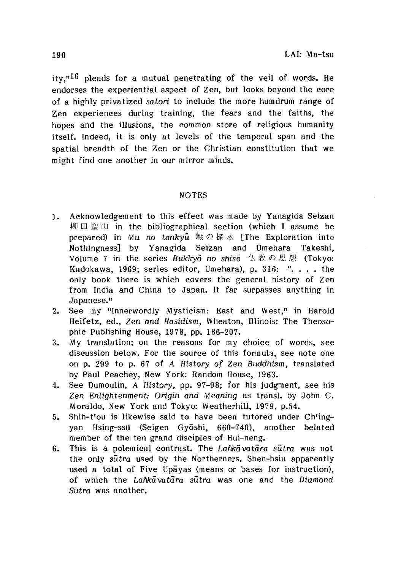ity, $n^{16}$  pleads for a mutual penetrating of the veil of words. He endorses the experiential aspect of Zen, but looks beyond the core of a highly privatized *satori* to include the more humdrum range of Zen experiences during training, the fears and the faiths, the hopes and the illusions, the common store of religious humanity itself. Indeed, it is only at levels of the temporal span and the spatial breadth of the Zen or the Christian constitution that we might find one another in our mirror minds.

### NOTES

- 1 . Acknowledgement to this effect was made by Yanagida Seizan 柳田聖山 in the bibliographical section (which I assume he **prepared)** in Mu no tankyu 無の探求 [The Exploration into Nothingness] by Yanagida Seizan and Umehara Takeshi, Volume 7 in the series *Bukkyo no shiso* 仏教の思想(Tokyo: Kadokawa, 1969; series editor, Umehara), p. 316:  $\overline{v}$ .... the only book there is which covers the general history of Zen from India and China to Japan. It far surpasses anything in Japanese."
- 2. See my "Innerwordly Mysticism: East and West," in Harold Heifetz, ed., *Zen and Hasidism*, Wheaton, Illinois: The Theosophic Publishing House, 1978, pp. 186-207.
- 3. My translation; on the reasons for my choice of words, see discussion below. For the source of this formula, see note one on p. 299 to p. 67 of *A History of Zen Buddhism*, translated by Paul Peachey, New York: Random House, 1963.
- 4. See Dumoulin, A *History,* pp. 97-98; for his judgment, see his Zen Enlightenment: Origin and Meaning as transl. by John C. Moraldo, New York and Tokyo: Weatherhill, 1979, p.54.
- 5. Shih-t'ou is likewise said to have been tutored under Ch'ingyan Hsing-ssu (Seigen Gyoshi, 660-740), another belated member of the ten grand disciples of Hui-neng.
- 6. This is a polemical contrast. The *Laf\kavatara sutra* was not the only *sutra* used by the Northerners. Shen-hsiu apparently used a total of Five Upayas (means or bases for instruction), of which the *LaNcavatara sutra* was one and the *Diamond Sutra* was another.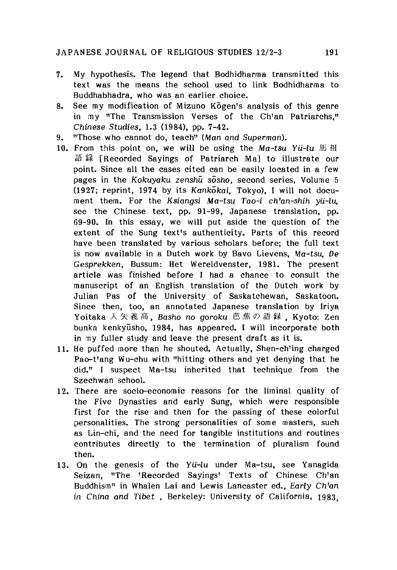- 7. My hypothesis. The legend that Bodhidharma transmitted this text was the means the school used to link Bodhidharma to Buddhabhadra, who was an earlier choice.
- 8. See my modification of Mizuno Kogen's analysis of this genre in my "The Transmission Verses of the Ch'an Patriarchs." *Chinese Studies,*1.3 (1984), pp. 7-42.
- 9. "Those who cannot do, teach" *(Man and Superman)*.
- 10. From this point on, we will be using the *Ma-tsu Yil-lu* 馬祖 語 録 [Recorded Sayings of Patriarch Ma] to illustrate our point. Since all the cases cited can be easily located in a few pages in the *Kokuyaku zenshu sosho,* second series, Volume 5 (1927; reprint, 1974 by its Kankokai, Tokyo), I will not document them. For the *Ksiangsi Ma-tsu Tao-i ch'an-shih yü-lu*. see the Chinese text, pp. 91-99, Japanese translation, pp. 69-90. In this essay, we will put aside the question of the extent of the Sung text's authenticity. Parts of this record have been translated by various scholars before; the full text is now available in a Dutch work by Bavo Lievens, *Ma-tsu^ De* Gesprekken, Bussum: Het Wereldvenster, 1981. The present article was finished before I had a chance to consult the manuscript of an English translation of the Dutch work by Julian Pas of the University of Saskatchewan, Saskatoon, Since then, too, an annotated Japanese translation by Iriya Yoitaka 入矢義高,*Basho no goroku* 色蕉の語録 Kyoto: Zen bunka kenkyusho, 1984, has appeared. I will incorporate both in my fuller study and leave the present draft as it is.
- 11. He puffed more than he shouted. Actually, Shen-ch'ing charged Pao-t'ang Wu-chu with "hitting others and yet denying that he did." I suspect Ma-tsu inherited that technique from the Szechwan school.
- 12. There are socio-economic reasons for the liminal quality of the Five Dynasties and early Sung, which were responsible first for the rise and then for the passing of these colorful personalities. The strong personalities of some masters, such as Lin-chi, and the need for tangible institutions and routines contributes directly to the termination of pluralism found then.
- 13. On the genesis of the *Yii-lu* under Ma-tsu, see Yanagida Seizan, "The 'Recorded Sayings' Texts of Chinese Ch'an Buddhism<sup>"</sup> in Whalen Lai and Lewis Lancaster ed., *Early Ch'an in China and Tibet*, Berkeley: University of California, 1983.